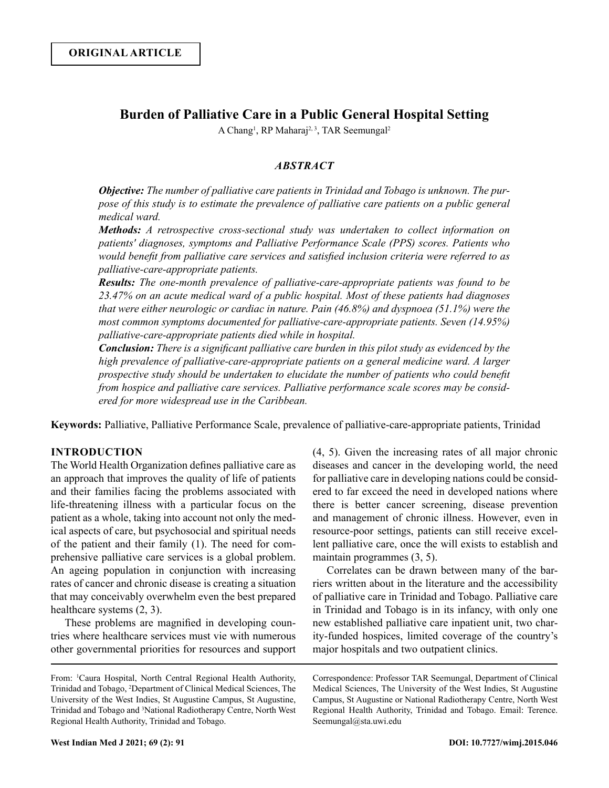# **Burden of Palliative Care in a Public General Hospital Setting**

A Chang<sup>1</sup>, RP Maharaj<sup>2, 3</sup>, TAR Seemungal<sup>2</sup>

## *ABSTRACT*

*Objective: The number of palliative care patients in Trinidad and Tobago is unknown. The purpose of this study is to estimate the prevalence of palliative care patients on a public general medical ward.*

*Methods: A retrospective cross-sectional study was undertaken to collect information on patients' diagnoses, symptoms and Palliative Performance Scale (PPS) scores. Patients who would benefit from palliative care services and satisfied inclusion criteria were referred to as palliative-care-appropriate patients.*

*Results: The one-month prevalence of palliative-care-appropriate patients was found to be 23.47% on an acute medical ward of a public hospital. Most of these patients had diagnoses that were either neurologic or cardiac in nature. Pain (46.8%) and dyspnoea (51.1%) were the most common symptoms documented for palliative-care-appropriate patients. Seven (14.95%) palliative-care-appropriate patients died while in hospital.* 

*Conclusion: There is a significant palliative care burden in this pilot study as evidenced by the high prevalence of palliative-care-appropriate patients on a general medicine ward. A larger prospective study should be undertaken to elucidate the number of patients who could benefit from hospice and palliative care services. Palliative performance scale scores may be considered for more widespread use in the Caribbean.*

**Keywords:** Palliative, Palliative Performance Scale, prevalence of palliative-care-appropriate patients, Trinidad

## **INTRODUCTION**

The World Health Organization defines palliative care as an approach that improves the quality of life of patients and their families facing the problems associated with life-threatening illness with a particular focus on the patient as a whole, taking into account not only the medical aspects of care, but psychosocial and spiritual needs of the patient and their family (1). The need for comprehensive palliative care services is a global problem. An ageing population in conjunction with increasing rates of cancer and chronic disease is creating a situation that may conceivably overwhelm even the best prepared healthcare systems (2, 3).

These problems are magnified in developing countries where healthcare services must vie with numerous other governmental priorities for resources and support

From: 1 Caura Hospital, North Central Regional Health Authority, Trinidad and Tobago, 2 Department of Clinical Medical Sciences, The University of the West Indies, St Augustine Campus, St Augustine, Trinidad and Tobago and 3 National Radiotherapy Centre, North West Regional Health Authority, Trinidad and Tobago.

(4, 5). Given the increasing rates of all major chronic diseases and cancer in the developing world, the need for palliative care in developing nations could be considered to far exceed the need in developed nations where there is better cancer screening, disease prevention and management of chronic illness. However, even in resource-poor settings, patients can still receive excellent palliative care, once the will exists to establish and maintain programmes (3, 5).

Correlates can be drawn between many of the barriers written about in the literature and the accessibility of palliative care in Trinidad and Tobago. Palliative care in Trinidad and Tobago is in its infancy, with only one new established palliative care inpatient unit, two charity-funded hospices, limited coverage of the country's major hospitals and two outpatient clinics.

Correspondence: Professor TAR Seemungal, Department of Clinical Medical Sciences, The University of the West Indies, St Augustine Campus, St Augustine or National Radiotherapy Centre, North West Regional Health Authority, Trinidad and Tobago. Email: Terence. Seemungal@sta.uwi.edu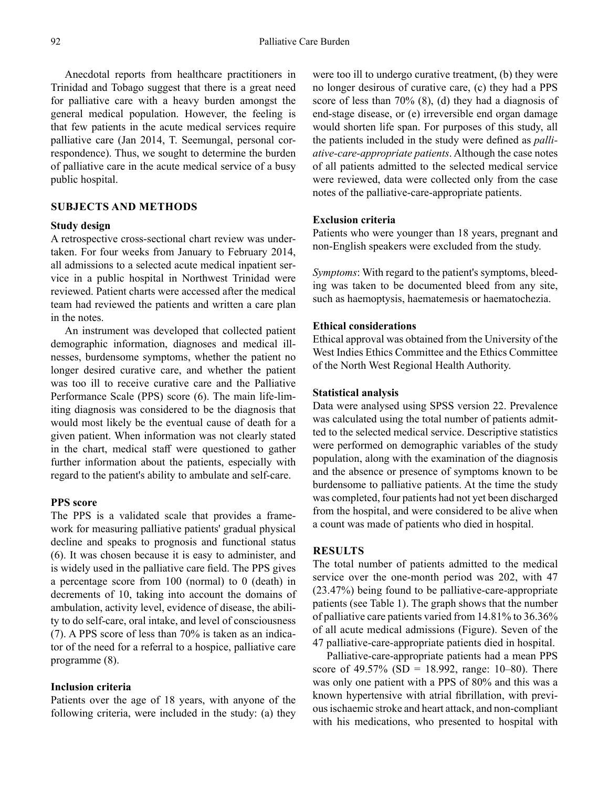Anecdotal reports from healthcare practitioners in Trinidad and Tobago suggest that there is a great need for palliative care with a heavy burden amongst the general medical population. However, the feeling is that few patients in the acute medical services require palliative care (Jan 2014, T. Seemungal, personal correspondence). Thus, we sought to determine the burden of palliative care in the acute medical service of a busy public hospital.

## **SUBJECTS AND METHODS**

#### **Study design**

A retrospective cross-sectional chart review was undertaken. For four weeks from January to February 2014, all admissions to a selected acute medical inpatient service in a public hospital in Northwest Trinidad were reviewed. Patient charts were accessed after the medical team had reviewed the patients and written a care plan in the notes.

An instrument was developed that collected patient demographic information, diagnoses and medical illnesses, burdensome symptoms, whether the patient no longer desired curative care, and whether the patient was too ill to receive curative care and the Palliative Performance Scale (PPS) score (6). The main life-limiting diagnosis was considered to be the diagnosis that would most likely be the eventual cause of death for a given patient. When information was not clearly stated in the chart, medical staff were questioned to gather further information about the patients, especially with regard to the patient's ability to ambulate and self-care.

## **PPS score**

The PPS is a validated scale that provides a framework for measuring palliative patients' gradual physical decline and speaks to prognosis and functional status (6). It was chosen because it is easy to administer, and is widely used in the palliative care field. The PPS gives a percentage score from 100 (normal) to 0 (death) in decrements of 10, taking into account the domains of ambulation, activity level, evidence of disease, the ability to do self-care, oral intake, and level of consciousness (7). A PPS score of less than 70% is taken as an indicator of the need for a referral to a hospice, palliative care programme (8).

#### **Inclusion criteria**

Patients over the age of 18 years, with anyone of the following criteria, were included in the study: (a) they were too ill to undergo curative treatment, (b) they were no longer desirous of curative care, (c) they had a PPS score of less than 70% (8), (d) they had a diagnosis of end-stage disease, or (e) irreversible end organ damage would shorten life span. For purposes of this study, all the patients included in the study were defined as *palliative-care-appropriate patients*. Although the case notes of all patients admitted to the selected medical service were reviewed, data were collected only from the case notes of the palliative-care-appropriate patients.

# **Exclusion criteria**

Patients who were younger than 18 years, pregnant and non-English speakers were excluded from the study.

*Symptoms*: With regard to the patient's symptoms, bleeding was taken to be documented bleed from any site, such as haemoptysis, haematemesis or haematochezia.

### **Ethical considerations**

Ethical approval was obtained from the University of the West Indies Ethics Committee and the Ethics Committee of the North West Regional Health Authority.

## **Statistical analysis**

Data were analysed using SPSS version 22. Prevalence was calculated using the total number of patients admitted to the selected medical service. Descriptive statistics were performed on demographic variables of the study population, along with the examination of the diagnosis and the absence or presence of symptoms known to be burdensome to palliative patients. At the time the study was completed, four patients had not yet been discharged from the hospital, and were considered to be alive when a count was made of patients who died in hospital.

#### **RESULTS**

The total number of patients admitted to the medical service over the one-month period was 202, with 47 (23.47%) being found to be palliative-care-appropriate patients (see Table 1). The graph shows that the number of palliative care patients varied from 14.81% to 36.36% of all acute medical admissions (Figure). Seven of the 47 palliative-care-appropriate patients died in hospital.

Palliative-care-appropriate patients had a mean PPS score of 49.57% (SD = 18.992, range: 10–80). There was only one patient with a PPS of 80% and this was a known hypertensive with atrial fibrillation, with previous ischaemic stroke and heart attack, and non-compliant with his medications, who presented to hospital with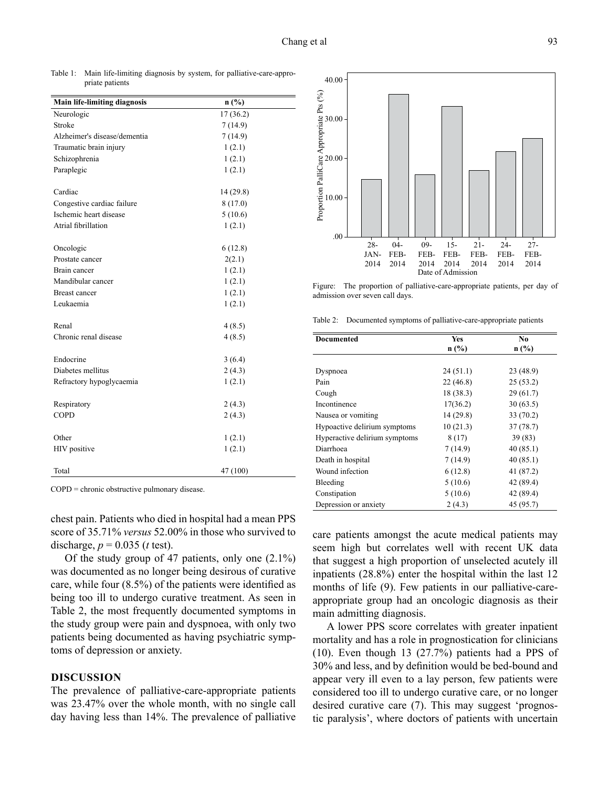Table 1: Main life-limiting diagnosis by system, for palliative-care-appropriate patients

| <b>Main life-limiting diagnosis</b> | n(%)      |  |
|-------------------------------------|-----------|--|
| Neurologic                          | 17(36.2)  |  |
| Stroke                              | 7(14.9)   |  |
| Alzheimer's disease/dementia        | 7(14.9)   |  |
| Traumatic brain injury              | 1(2.1)    |  |
| Schizophrenia                       | 1(2.1)    |  |
| Paraplegic                          | 1(2.1)    |  |
|                                     |           |  |
| Cardiac                             | 14 (29.8) |  |
| Congestive cardiac failure          | 8(17.0)   |  |
| Ischemic heart disease              | 5(10.6)   |  |
| Atrial fibrillation                 | 1(2.1)    |  |
|                                     |           |  |
| Oncologic                           | 6(12.8)   |  |
| Prostate cancer                     | 2(2.1)    |  |
| Brain cancer                        | 1(2.1)    |  |
| Mandibular cancer                   | 1(2.1)    |  |
| <b>Breast cancer</b>                | 1(2.1)    |  |
| Leukaemia                           | 1(2.1)    |  |
|                                     |           |  |
| Renal                               | 4(8.5)    |  |
| Chronic renal disease               | 4(8.5)    |  |
|                                     |           |  |
| Endocrine                           | 3(6.4)    |  |
| Diabetes mellitus                   | 2(4.3)    |  |
| Refractory hypoglycaemia            | 1(2.1)    |  |
|                                     |           |  |
| Respiratory                         | 2(4.3)    |  |
| <b>COPD</b>                         | 2(4.3)    |  |
|                                     |           |  |
| Other                               | 1(2.1)    |  |
| HIV positive                        | 1(2.1)    |  |
|                                     |           |  |
| Total                               | 47 (100)  |  |

COPD = chronic obstructive pulmonary disease.

chest pain. Patients who died in hospital had a mean PPS score of 35.71% *versus* 52.00% in those who survived to discharge,  $p = 0.035$  (*t* test).

Of the study group of 47 patients, only one (2.1%) was documented as no longer being desirous of curative care, while four (8.5%) of the patients were identified as being too ill to undergo curative treatment. As seen in Table 2, the most frequently documented symptoms in the study group were pain and dyspnoea, with only two patients being documented as having psychiatric symptoms of depression or anxiety.

#### **DISCUSSION**

The prevalence of palliative-care-appropriate patients was 23.47% over the whole month, with no single call day having less than 14%. The prevalence of palliative



Figure: The proportion of palliative-care-appropriate patients, per day of admission over seven call days.

Table 2: Documented symptoms of palliative-care-appropriate patients

| Documented                    | Yes       | No.       |
|-------------------------------|-----------|-----------|
|                               | n(%)      | $n$ (%)   |
|                               |           |           |
| Dyspnoea                      | 24(51.1)  | 23 (48.9) |
| Pain                          | 22(46.8)  | 25(53.2)  |
| Cough                         | 18 (38.3) | 29(61.7)  |
| Incontinence                  | 17(36.2)  | 30(63.5)  |
| Nausea or vomiting            | 14 (29.8) | 33(70.2)  |
| Hypoactive delirium symptoms  | 10(21.3)  | 37(78.7)  |
| Hyperactive delirium symptoms | 8(17)     | 39(83)    |
| Diarrhoea                     | 7(14.9)   | 40(85.1)  |
| Death in hospital             | 7(14.9)   | 40(85.1)  |
| Wound infection               | 6(12.8)   | 41 (87.2) |
| Bleeding                      | 5(10.6)   | 42 (89.4) |
| Constipation                  | 5(10.6)   | 42 (89.4) |
| Depression or anxiety         | 2(4.3)    | 45 (95.7) |

care patients amongst the acute medical patients may seem high but correlates well with recent UK data that suggest a high proportion of unselected acutely ill inpatients (28.8%) enter the hospital within the last 12 months of life (9). Few patients in our palliative-careappropriate group had an oncologic diagnosis as their main admitting diagnosis.

A lower PPS score correlates with greater inpatient mortality and has a role in prognostication for clinicians (10). Even though 13 (27.7%) patients had a PPS of 30% and less, and by definition would be bed-bound and appear very ill even to a lay person, few patients were considered too ill to undergo curative care, or no longer desired curative care (7). This may suggest 'prognostic paralysis', where doctors of patients with uncertain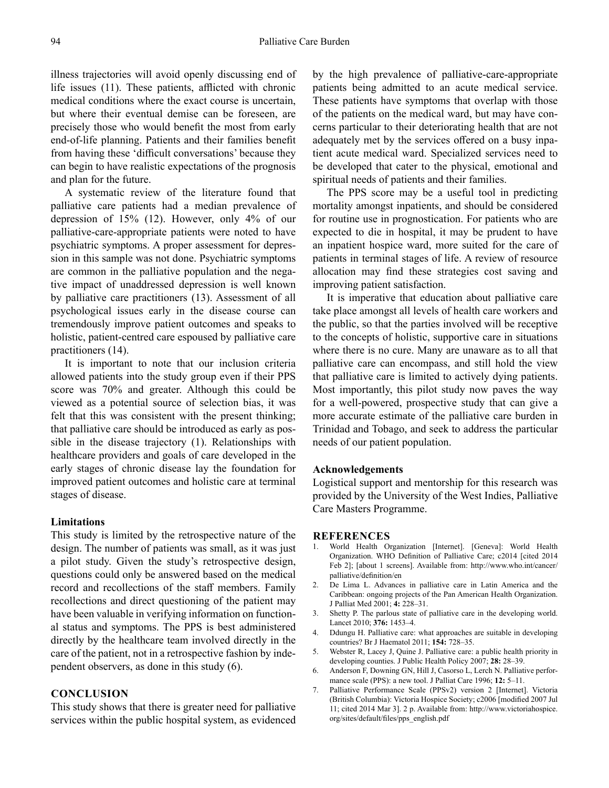illness trajectories will avoid openly discussing end of life issues (11). These patients, afflicted with chronic medical conditions where the exact course is uncertain, but where their eventual demise can be foreseen, are precisely those who would benefit the most from early end-of-life planning. Patients and their families benefit from having these 'difficult conversations' because they can begin to have realistic expectations of the prognosis and plan for the future.

A systematic review of the literature found that palliative care patients had a median prevalence of depression of 15% (12). However, only 4% of our palliative-care-appropriate patients were noted to have psychiatric symptoms. A proper assessment for depression in this sample was not done. Psychiatric symptoms are common in the palliative population and the negative impact of unaddressed depression is well known by palliative care practitioners (13). Assessment of all psychological issues early in the disease course can tremendously improve patient outcomes and speaks to holistic, patient-centred care espoused by palliative care practitioners (14).

It is important to note that our inclusion criteria allowed patients into the study group even if their PPS score was 70% and greater. Although this could be viewed as a potential source of selection bias, it was felt that this was consistent with the present thinking; that palliative care should be introduced as early as possible in the disease trajectory (1). Relationships with healthcare providers and goals of care developed in the early stages of chronic disease lay the foundation for improved patient outcomes and holistic care at terminal stages of disease.

#### **Limitations**

This study is limited by the retrospective nature of the design. The number of patients was small, as it was just a pilot study. Given the study's retrospective design, questions could only be answered based on the medical record and recollections of the staff members. Family recollections and direct questioning of the patient may have been valuable in verifying information on functional status and symptoms. The PPS is best administered directly by the healthcare team involved directly in the care of the patient, not in a retrospective fashion by independent observers, as done in this study (6).

## **CONCLUSION**

This study shows that there is greater need for palliative services within the public hospital system, as evidenced by the high prevalence of palliative-care-appropriate patients being admitted to an acute medical service. These patients have symptoms that overlap with those of the patients on the medical ward, but may have concerns particular to their deteriorating health that are not adequately met by the services offered on a busy inpatient acute medical ward. Specialized services need to be developed that cater to the physical, emotional and spiritual needs of patients and their families.

The PPS score may be a useful tool in predicting mortality amongst inpatients, and should be considered for routine use in prognostication. For patients who are expected to die in hospital, it may be prudent to have an inpatient hospice ward, more suited for the care of patients in terminal stages of life. A review of resource allocation may find these strategies cost saving and improving patient satisfaction.

It is imperative that education about palliative care take place amongst all levels of health care workers and the public, so that the parties involved will be receptive to the concepts of holistic, supportive care in situations where there is no cure. Many are unaware as to all that palliative care can encompass, and still hold the view that palliative care is limited to actively dying patients. Most importantly, this pilot study now paves the way for a well-powered, prospective study that can give a more accurate estimate of the palliative care burden in Trinidad and Tobago, and seek to address the particular needs of our patient population.

#### **Acknowledgements**

Logistical support and mentorship for this research was provided by the University of the West Indies, Palliative Care Masters Programme.

#### **REFERENCES**

- 1. World Health Organization [Internet]. [Geneva]: World Health Organization. WHO Definition of Palliative Care; c2014 [cited 2014 Feb 2]; [about 1 screens]. Available from: http://www.who.int/cancer/ palliative/definition/en
- 2. De Lima L. Advances in palliative care in Latin America and the Caribbean: ongoing projects of the Pan American Health Organization. J Palliat Med 2001; **4:** 228–31.
- 3. Shetty P. The parlous state of palliative care in the developing world. Lancet 2010; **376:** 1453–4.
- 4. Ddungu H. Palliative care: what approaches are suitable in developing countries? Br J Haematol 2011; **154:** 728–35.
- 5. Webster R, Lacey J, Quine J. Palliative care: a public health priority in developing counties. J Public Health Policy 2007; **28:** 28–39.
- 6. Anderson F, Downing GN, Hill J, Casorso L, Lerch N. Palliative performance scale (PPS): a new tool. J Palliat Care 1996; **12:** 5–11.
- 7. Palliative Performance Scale (PPSv2) version 2 [Internet]. Victoria (British Columbia): Victoria Hospice Society; c2006 [modified 2007 Jul 11; cited 2014 Mar 3]. 2 p. Available from: http://www.victoriahospice. org/sites/default/files/pps\_english.pdf